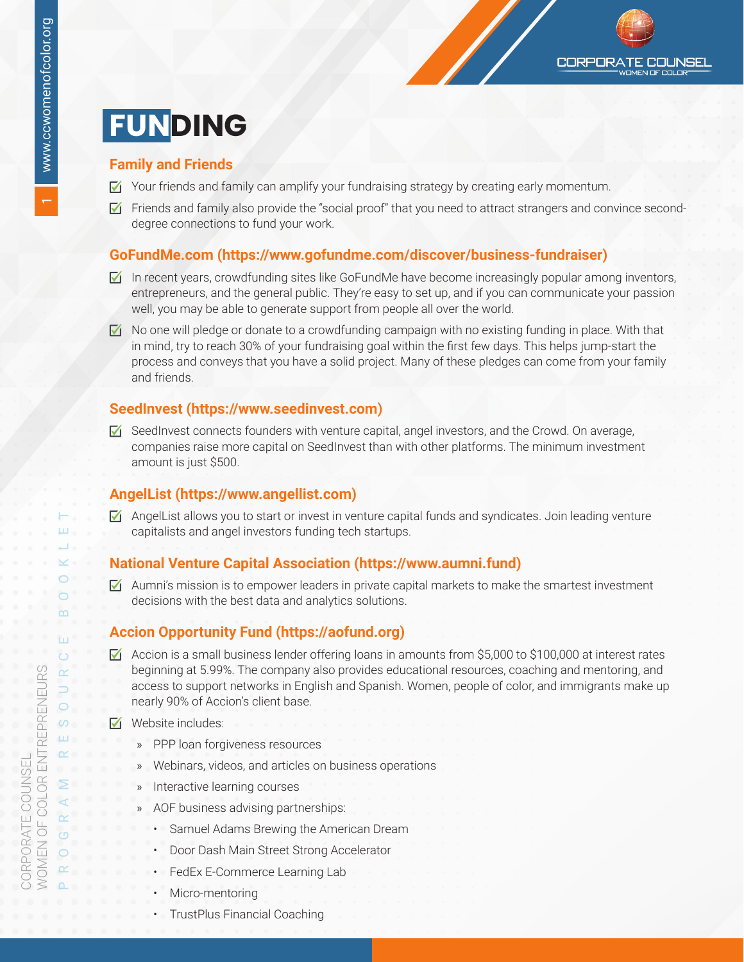#### **Family and Friends**

- ☑ Your friends and family can amplify your fundraising strategy by creating early momentum.
- $\nabla$  Friends and family also provide the "social proof" that you need to attract strangers and convince seconddegree connections to fund your work.

**CORPORATE COUNSEL** 

#### **GoFundMe.com [\(https://www.gofundme.com/discover/business-fundraiser](https://www.gofundme.com/discover/business-fundraiser))**

- $\nabla$  In recent years, crowdfunding sites like GoFundMe have become increasingly popular among inventors, entrepreneurs, and the general public. They're easy to set up, and if you can communicate your passion well, you may be able to generate support from people all over the world.
- $\nabla$  No one will pledge or donate to a crowdfunding campaign with no existing funding in place. With that in mind, try to reach 30% of your fundraising goal within the first few days. This helps jump-start the process and conveys that you have a solid project. Many of these pledges can come from your family and friends.

#### **SeedInvest ([https://www.seedinvest.com\)](https://www.seedinvest.com)**

☑ SeedInvest connects founders with venture capital, angel investors, and the Crowd. On average, companies raise more capital on SeedInvest than with other platforms. The minimum investment amount is just \$500.

#### **AngelList [\(https://www.angellist.com](https://www.angellist.com))**

 $\triangledown$  AngelList allows you to start or invest in venture capital funds and syndicates. Join leading venture capitalists and angel investors funding tech startups.

#### **National Venture Capital Association (<https://www.aumni.fund>)**

 $\blacktriangleright$  Aumni's mission is to empower leaders in private capital markets to make the smartest investment decisions with the best data and analytics solutions.

### **Accion Opportunity Fund [\(https://aofund.org](https://aofund.org))**

- ☑ Accion is a small business lender offering loans in amounts from \$5,000 to \$100,000 at interest rates beginning at 5.99%. The company also provides educational resources, coaching and mentoring, and access to support networks in English and Spanish. Women, people of color, and immigrants make up nearly 90% of Accion's client base.
- ☑ Website includes:
	- » PPP loan forgiveness resources
	- » Webinars, videos, and articles on business operations
	- » Interactive learning courses
	- » AOF business advising partnerships:
		- Samuel Adams Brewing the American Dream
		- Door Dash Main Street Strong Accelerator
		- FedEx E-Commerce Learning Lab
		- Micro-mentoring
		- TrustPlus Financial Coaching

 $\overline{ }$ 

CORPORATE COUNSEL

CORPORATE COUNSEL<br>WOMEN OF COLOR ENT

WOMEN OF COLOR ENTREPRENEURS

ENTREPRENEURS

PROGRAM RESOURCE BOOKLET

 $\circ$  $\circ$ ш

⋖  $\alpha$  $\circ$  $\circ$  $\alpha$  $\Omega$ 

 $\overline{m}$ 

Ш  $\ddot{\circ}$ 

 $\alpha$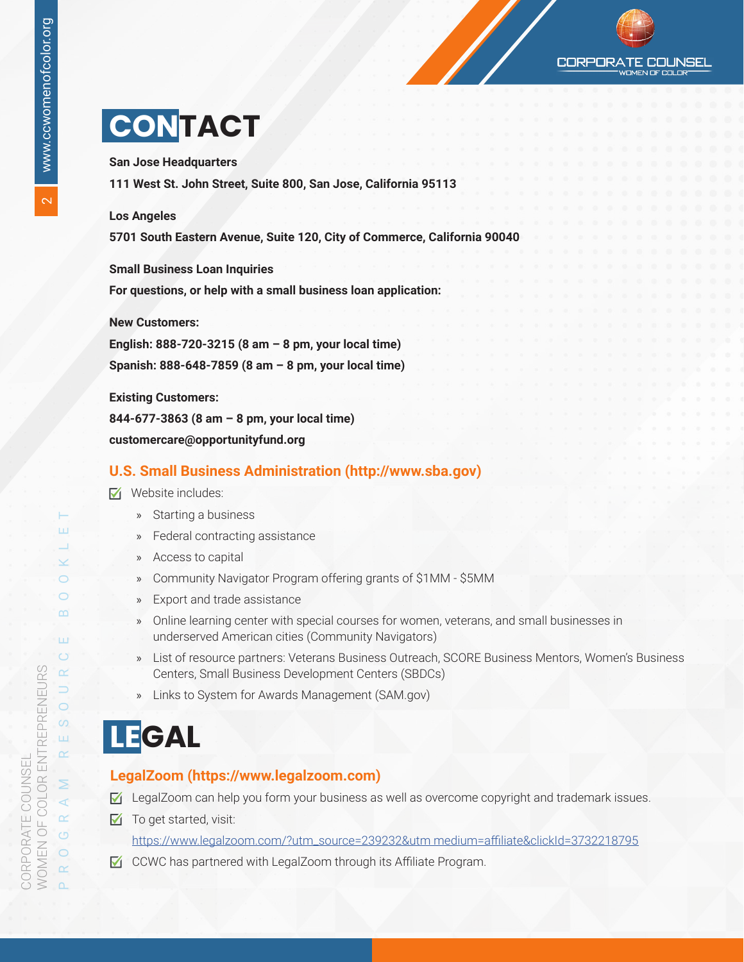CORPOR COI INSEL

## **CONTACT**

**San Jose Headquarters**

**111 West St. John Street, Suite 800, San Jose, California 95113**

#### **Los Angeles**

**5701 South Eastern Avenue, Suite 120, City of Commerce, California 90040**

**Small Business Loan Inquiries**

**For questions, or help with a small business loan application:**

**New Customers:**

**English: 888-720-3215 (8 am – 8 pm, your local time) Spanish: 888-648-7859 (8 am – 8 pm, your local time)**

**Existing Customers:**

**844-677-3863 (8 am – 8 pm, your local time)**

**customercare@opportunityfund.org**

#### **U.S. Small Business Administration [\(http://www.sba.gov](http://www.sba.gov))**

- ☑ Website includes:
	- » Starting a business
	- » Federal contracting assistance
	- » Access to capital
	- » Community Navigator Program offering grants of \$1MM \$5MM
	- » Export and trade assistance
	- » Online learning center with special courses for women, veterans, and small businesses in underserved American cities (Community Navigators)
	- » List of resource partners: Veterans Business Outreach, SCORE Business Mentors, Women's Business Centers, Small Business Development Centers (SBDCs)
	- » Links to System for Awards Management (SAM.gov)

## **LEGAL**

#### **LegalZoom [\(https://www.legalzoom.com](https://www.legalzoom.com))**

- $\triangledown$  LegalZoom can help you form your business as well as overcome copyright and trademark issues.
- $\nabla$  To get started, visit:

[https://www.legalzoom.com/?utm\\_source=239232&utm medium=affiliate&clickId=3732218795](https://www.legalzoom.com/?utm_source=239232&utm medium=affiliate&clickId=3732218795)

☑ CCWC has partnered with LegalZoom through its Affiliate Program.

ш

 $\checkmark$  $\bigcirc$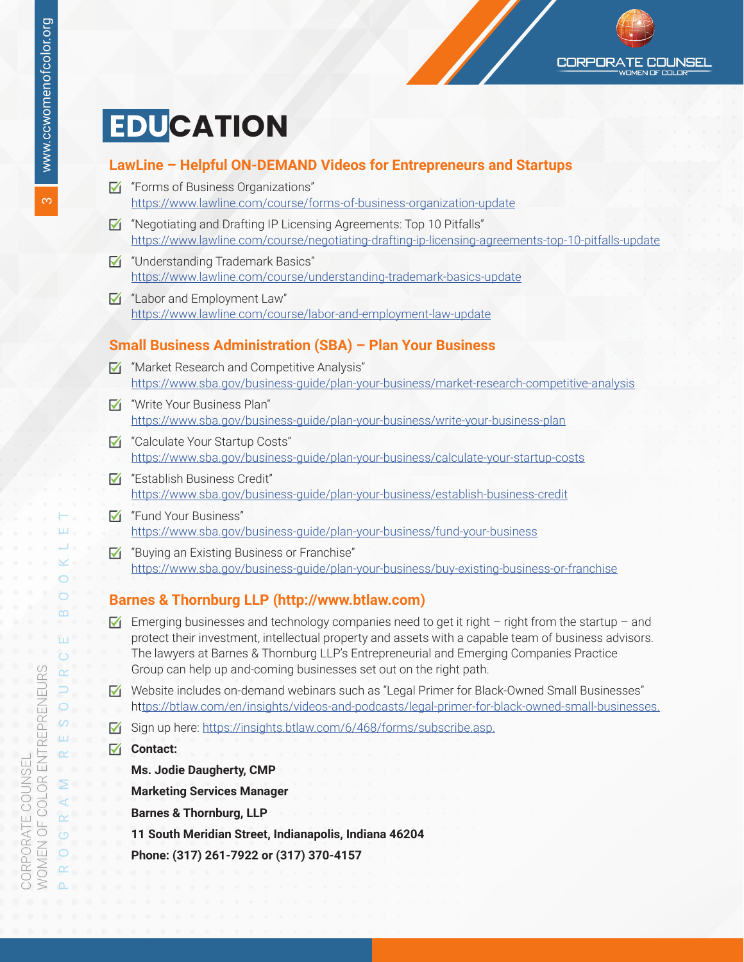# **EDUCATION**

### **LawLine – Helpful ON-DEMAND Videos for Entrepreneurs and Startups**

- ☑ "Forms of Business Organizations" <https://www.lawline.com/course/forms-of-business-organization-update>
- ☑ "Negotiating and Drafting IP Licensing Agreements: Top 10 Pitfalls" <https://www.lawline.com/course/negotiating-drafting-ip-licensing-agreements-top-10-pitfalls-update>
- ☑ "Understanding Trademark Basics" <https://www.lawline.com/course/understanding-trademark-basics-update>
- ☑ "Labor and Employment Law" <https://www.lawline.com/course/labor-and-employment-law-update>

### **Small Business Administration (SBA) – Plan Your Business**

- ☑ "Market Research and Competitive Analysis" <https://www.sba.gov/business-guide/plan-your-business/market-research-competitive-analysis>
- ☑ "Write Your Business Plan" <https://www.sba.gov/business-guide/plan-your-business/write-your-business-plan>
- ☑ "Calculate Your Startup Costs" <https://www.sba.gov/business-guide/plan-your-business/calculate-your-startup-costs>
- ☑ "Establish Business Credit" <https://www.sba.gov/business-guide/plan-your-business/establish-business-credit>
- ☑ "Fund Your Business" <https://www.sba.gov/business-guide/plan-your-business/fund-your-business>
- ☑ "Buying an Existing Business or Franchise" <https://www.sba.gov/business-guide/plan-your-business/buy-existing-business-or-franchise>

### **Barnes & Thornburg LLP (<http://www.btlaw.com>)**

- $\triangledown$  Emerging businesses and technology companies need to get it right right from the startup and protect their investment, intellectual property and assets with a capable team of business advisors. The lawyers at Barnes & Thornburg LLP's Entrepreneurial and Emerging Companies Practice Group can help up and-coming businesses set out on the right path.
- ☑ Website includes on-demand webinars such as "Legal Primer for Black-Owned Small Businesses" ht<tps://btlaw.com/en/insights/videos-and-podcasts/legal-primer-for-black-owned-small-businesses.>
- ☑ Sign up here: <https://insights.btlaw.com/6/468/forms/subscribe.asp.>
- ☑ **Contact:**

**Ms. Jodie Daugherty, CMP**

**Marketing Services Manager**

**Barnes & Thornburg, LLP**

**11 South Meridian Street, Indianapolis, Indiana 46204**

**Phone: (317) 261-7922 or (317) 370-4157**

PROGRAM RESOURCE BOOKLET

 $\circ$  $\circ$ ш

⋖  $\alpha$  $\circ$  $\circ$  $\alpha$ 

 $\alpha$ 

Ш  $\ddot{\circ}$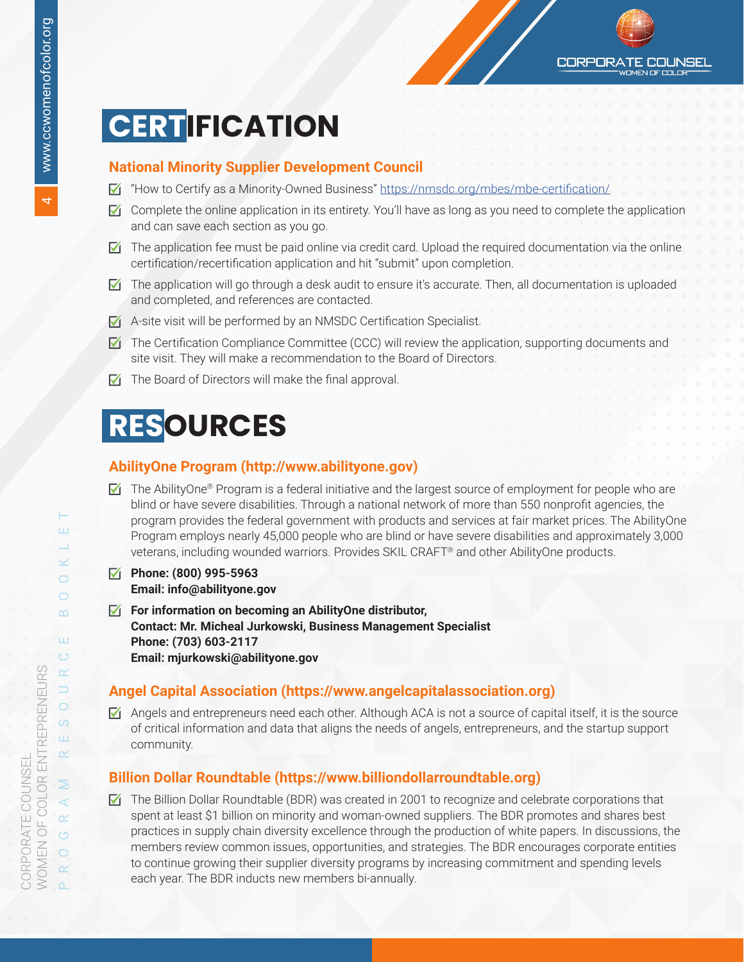## **CERTIFICATION**

### **National Minority Supplier Development Council**

- $\triangledown$  "How to Certify as a Minority-Owned Business" <https://nmsdc.org/mbes/mbe-certification/>
- $\triangledown$  Complete the online application in its entirety. You'll have as long as you need to complete the application and can save each section as you go.
- $\triangledown$  The application fee must be paid online via credit card. Upload the required documentation via the online certification/recertification application and hit "submit" upon completion.
- $\triangledown$  The application will go through a desk audit to ensure it's accurate. Then, all documentation is uploaded and completed, and references are contacted.
- ☑ A-site visit will be performed by an NMSDC Certification Specialist.
- $\triangledown$  The Certification Compliance Committee (CCC) will review the application, supporting documents and site visit. They will make a recommendation to the Board of Directors.
- ☑ The Board of Directors will make the final approval.

## **RESOURCES**

#### **AbilityOne Program [\(http://www.abilityone.gov\)](http://www.abilityone.gov)**

- $\nabla$  The AbilityOne® Program is a federal initiative and the largest source of employment for people who are blind or have severe disabilities. Through a national network of more than 550 nonprofit agencies, the program provides the federal government with products and services at fair market prices. The AbilityOne Program employs nearly 45,000 people who are blind or have severe disabilities and approximately 3,000 veterans, including wounded warriors. Provides SKIL CRAFT® and other AbilityOne products.
- ☑ **Phone: (800) 995-5963 Email: info@abilityone.gov**
- ☑ **For information on becoming an AbilityOne distributor, Contact: Mr. Micheal Jurkowski, Business Management Specialist Phone: (703) 603-2117 Email: mjurkowski@abilityone.gov**

### **Angel Capital Association (<https://www.angelcapitalassociation.org>)**

 $\triangledown$  Angels and entrepreneurs need each other. Although ACA is not a source of capital itself, it is the source of critical information and data that aligns the needs of angels, entrepreneurs, and the startup support community.

### **Billion Dollar Roundtable [\(https://www.billiondollarroundtable.org](https://www.billiondollarroundtable.org))**

 $\triangledown$  The Billion Dollar Roundtable (BDR) was created in 2001 to recognize and celebrate corporations that spent at least \$1 billion on minority and woman-owned suppliers. The BDR promotes and shares best practices in supply chain diversity excellence through the production of white papers. In discussions, the members review common issues, opportunities, and strategies. The BDR encourages corporate entities to continue growing their supplier diversity programs by increasing commitment and spending levels each year. The BDR inducts new members bi-annually.

ш

 $\checkmark$  $\bigcirc$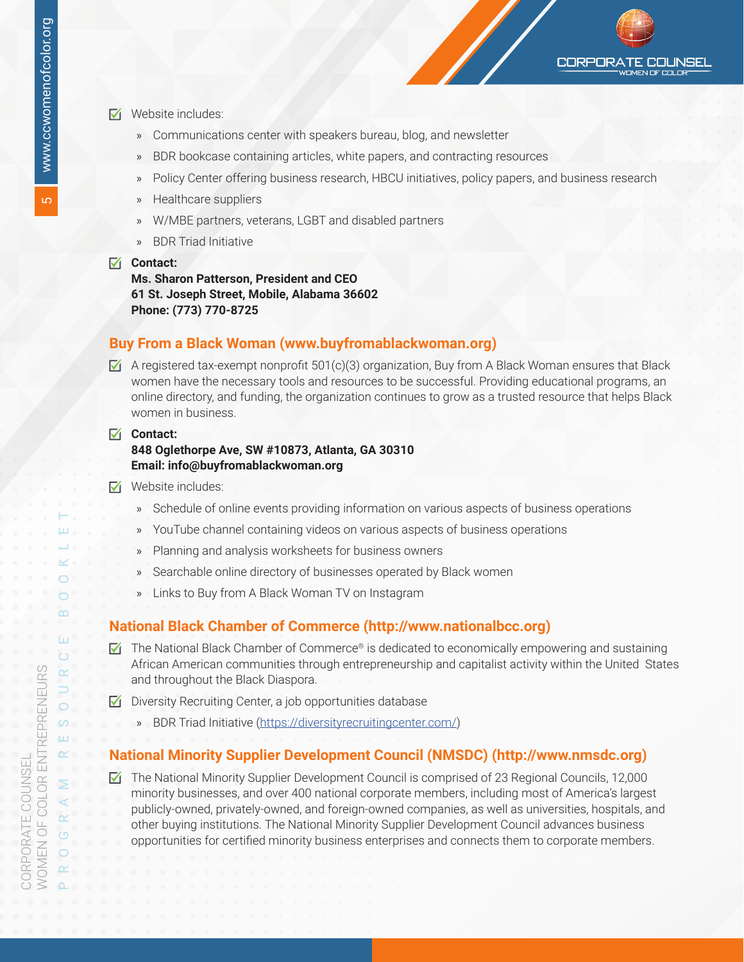- ☑ Website includes:
	- » Communications center with speakers bureau, blog, and newsletter
	- BDR bookcase containing articles, white papers, and contracting resources
	- » Policy Center offering business research, HBCU initiatives, policy papers, and business research
	- » Healthcare suppliers
	- » W/MBE partners, veterans, LGBT and disabled partners
	- » BDR Triad Initiative
- ☑ **Contact: Ms. Sharon Patterson, President and CEO 61 St. Joseph Street, Mobile, Alabama 36602 Phone: (773) 770-8725**

#### **Buy From a Black Woman (www.buyfromablackwoman.org)**

- $\blacktriangleright$  A registered tax-exempt nonprofit 501(c)(3) organization, Buy from A Black Woman ensures that Black women have the necessary tools and resources to be successful. Providing educational programs, an online directory, and funding, the organization continues to grow as a trusted resource that helps Black women in business.
- ☑ **Contact: 848 Oglethorpe Ave, SW #10873, Atlanta, GA 30310 Email: info@buyfromablackwoman.org**
- ☑ Website includes:
	- » Schedule of online events providing information on various aspects of business operations
	- » YouTube channel containing videos on various aspects of business operations
	- » Planning and analysis worksheets for business owners
	- » Searchable online directory of businesses operated by Black women
	- Links to Buy from A Black Woman TV on Instagram

#### **National Black Chamber of Commerce [\(http://www.nationalbcc.org](http://www.nationalbcc.org))**

- $\blacksquare$  The National Black Chamber of Commerce® is dedicated to economically empowering and sustaining African American communities through entrepreneurship and capitalist activity within the United States and throughout the Black Diaspora.
- ☑ Diversity Recruiting Center, a job opportunities database
	- » BDR Triad Initiative [\(https://diversityrecruitingcenter.com/\)](https://diversityrecruitingcenter.com/)

#### **National Minority Supplier Development Council (NMSDC) [\(http://www.nmsdc.org\)](http://www.nmsdc.org)**

☑ The National Minority Supplier Development Council is comprised of 23 Regional Councils, 12,000 minority businesses, and over 400 national corporate members, including most of America's largest publicly-owned, privately-owned, and foreign-owned companies, as well as universities, hospitals, and other buying institutions. The National Minority Supplier Development Council advances business opportunities for certified minority business enterprises and connects them to corporate members.

PROGRAM RESOURCE BOOKLET

⋝  $\prec$  $\alpha$  $\circ$  $\circ$  $\alpha$ 

 $\alpha$ ⊃  $\circ$  $\infty$ Ш

TП  $\ddot{\circ}$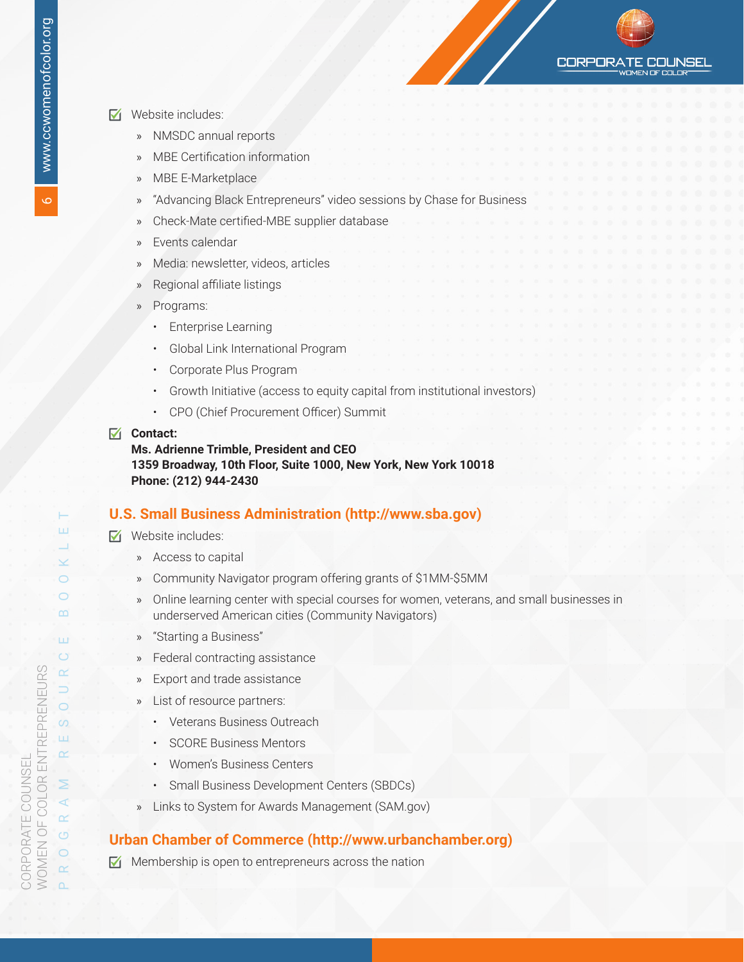**CORPORA** COI INSEL

- ☑ Website includes:
	- » NMSDC annual reports
	- » MBE Certification information
	- » MBE E-Marketplace
	- » "Advancing Black Entrepreneurs" video sessions by Chase for Business
	- » Check-Mate certified-MBE supplier database
	- » Events calendar
	- » Media: newsletter, videos, articles
	- » Regional affiliate listings
	- » Programs:
		- Enterprise Learning
		- Global Link International Program
		- Corporate Plus Program
		- Growth Initiative (access to equity capital from institutional investors)
		- CPO (Chief Procurement Officer) Summit
- ☑ **Contact:**

**Ms. Adrienne Trimble, President and CEO 1359 Broadway, 10th Floor, Suite 1000, New York, New York 10018 Phone: (212) 944-2430**

#### **U.S. Small Business Administration (http://www.sba.gov)**

- $\nabla$ i Website includes:
	- » Access to capital
	- » Community Navigator program offering grants of \$1MM-\$5MM
	- » Online learning center with special courses for women, veterans, and small businesses in underserved American cities (Community Navigators)
	- » "Starting a Business"
	- Federal contracting assistance
	- Export and trade assistance
	- » List of resource partners:
		- Veterans Business Outreach
		- SCORE Business Mentors
		- Women's Business Centers
		- Small Business Development Centers (SBDCs)
	- » Links to System for Awards Management (SAM.gov)

#### **Urban Chamber of Commerce [\(http://www.urbanchamber.org\)](http://www.urbanchamber.org)**

☑ Membership is open to entrepreneurs across the nation

6

H ш

 $\checkmark$  $\bigcirc$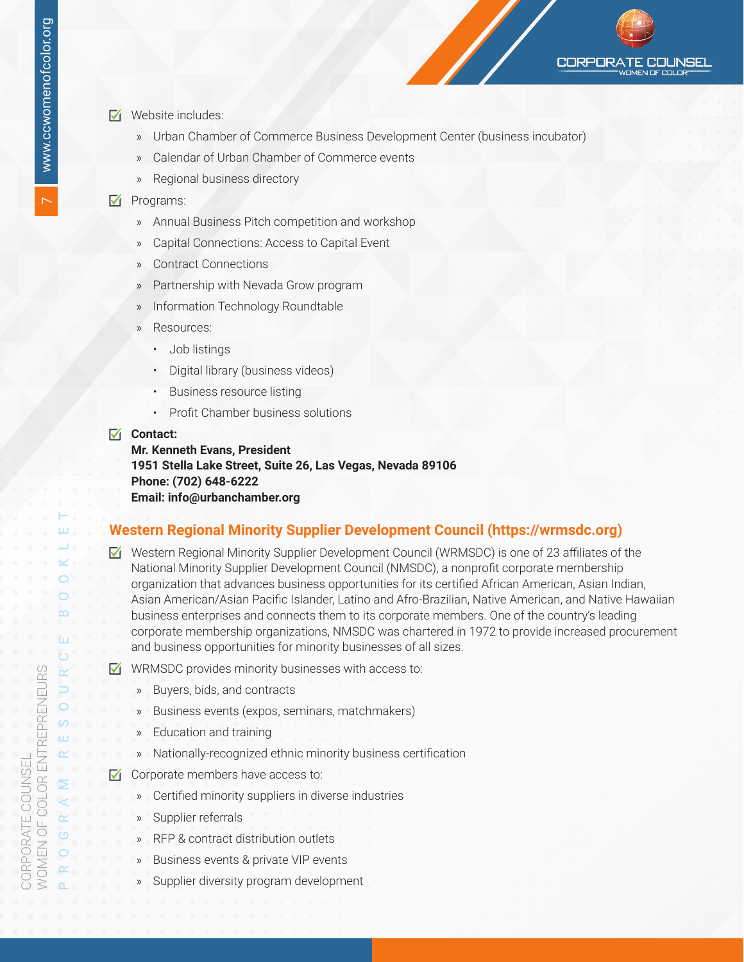- ☑ Website includes:
	- » Urban Chamber of Commerce Business Development Center (business incubator)

**CORPORATE** 

**COUNSEL** 

- » Calendar of Urban Chamber of Commerce events
- Regional business directory

#### ☑ Programs:

- » Annual Business Pitch competition and workshop
- » Capital Connections: Access to Capital Event
- » Contract Connections
- Partnership with Nevada Grow program
- » Information Technology Roundtable
- » Resources:
	- Job listings
	- Digital library (business videos)
	- Business resource listing
	- Profit Chamber business solutions

#### ☑ **Contact:**

**Mr. Kenneth Evans, President 1951 Stella Lake Street, Suite 26, Las Vegas, Nevada 89106 Phone: (702) 648-6222 Email: info@urbanchamber.org**

#### **Western Regional Minority Supplier Development Council [\(https://wrmsdc.org](https://wrmsdc.org))**

- ☑ Western Regional Minority Supplier Development Council (WRMSDC) is one of 23 affiliates of the National Minority Supplier Development Council (NMSDC), a nonprofit corporate membership organization that advances business opportunities for its certified African American, Asian Indian, Asian American/Asian Pacific Islander, Latino and Afro-Brazilian, Native American, and Native Hawaiian business enterprises and connects them to its corporate members. One of the country's leading corporate membership organizations, NMSDC was chartered in 1972 to provide increased procurement and business opportunities for minority businesses of all sizes.
- ☑ WRMSDC provides minority businesses with access to:
	- » Buyers, bids, and contracts
	- Business events (expos, seminars, matchmakers)
	- Education and training
	- » Nationally-recognized ethnic minority business certification
- ☑ Corporate members have access to:
	- » Certified minority suppliers in diverse industries
	- » Supplier referrals
	- » RFP & contract distribution outlets
	- Business events & private VIP events
	- Supplier diversity program development

PROGRAM RESOURCE BOOKLET

 $\circ$  $\circ$ D.

⋝  $\overline{a}$ 

 $\circ$  $\circ$  $\alpha$ 

 $\overline{m}$ 

 $\ddot{\circ}$ 

 $\overline{\alpha}$